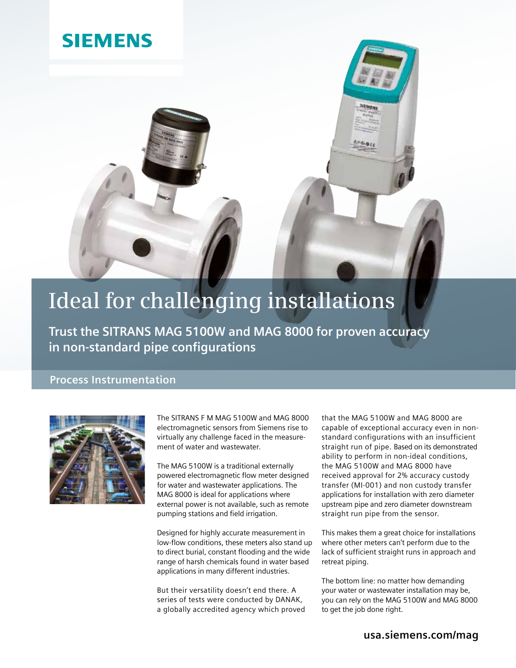### **SIEMENS**

## **Ideal for challenging installations**

**Trust the SITRANS MAG 5100W and MAG 8000 for proven accuracy in non-standard pipe configurations**

### **Process Instrumentation**



The SITRANS F M MAG 5100W and MAG 8000 electromagnetic sensors from Siemens rise to virtually any challenge faced in the measurement of water and wastewater.

The MAG 5100W is a traditional externally powered electromagnetic flow meter designed for water and wastewater applications. The MAG 8000 is ideal for applications where external power is not available, such as remote pumping stations and field irrigation.

Designed for highly accurate measurement in low-flow conditions, these meters also stand up to direct burial, constant flooding and the wide range of harsh chemicals found in water based applications in many different industries.

But their versatility doesn't end there. A series of tests were conducted by DANAK, a globally accredited agency which proved that the MAG 5100W and MAG 8000 are capable of exceptional accuracy even in nonstandard configurations with an insufficient straight run of pipe. Based on its demonstrated ability to perform in non-ideal conditions, the MAG 5100W and MAG 8000 have received approval for 2% accuracy custody transfer (MI-001) and non custody transfer applications for installation with zero diameter upstream pipe and zero diameter downstream straight run pipe from the sensor.

This makes them a great choice for installations where other meters can't perform due to the lack of sufficient straight runs in approach and retreat piping.

The bottom line: no matter how demanding your water or wastewater installation may be, you can rely on the MAG 5100W and MAG 8000 to get the job done right.